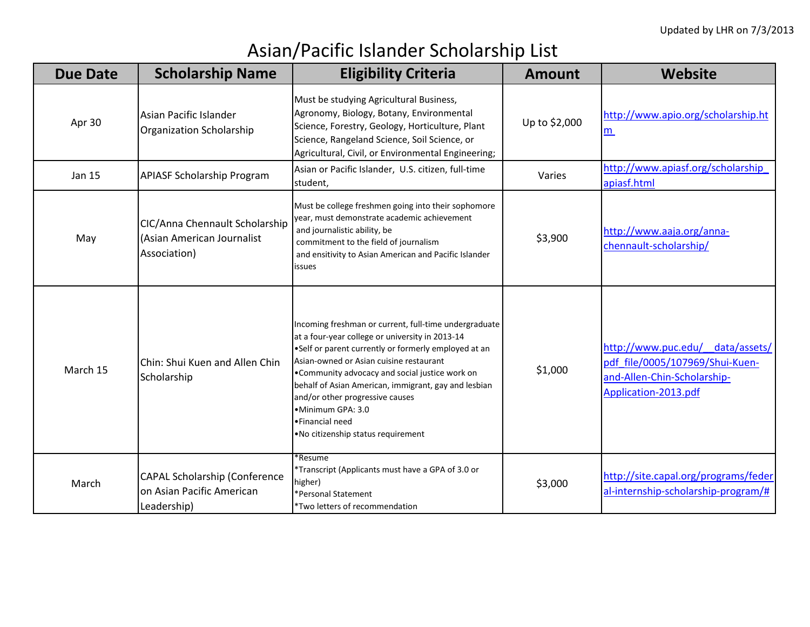## Asian/Pacific Islander Scholarship List

| <b>Due Date</b> | <b>Scholarship Name</b>                                                          | <b>Eligibility Criteria</b>                                                                                                                                                                                                                                                                                                                                                                                                             | <b>Amount</b> | <b>Website</b>                                                                                                             |
|-----------------|----------------------------------------------------------------------------------|-----------------------------------------------------------------------------------------------------------------------------------------------------------------------------------------------------------------------------------------------------------------------------------------------------------------------------------------------------------------------------------------------------------------------------------------|---------------|----------------------------------------------------------------------------------------------------------------------------|
| Apr 30          | Asian Pacific Islander<br>Organization Scholarship                               | Must be studying Agricultural Business,<br>Agronomy, Biology, Botany, Environmental<br>Science, Forestry, Geology, Horticulture, Plant<br>Science, Rangeland Science, Soil Science, or<br>Agricultural, Civil, or Environmental Engineering;                                                                                                                                                                                            | Up to \$2,000 | http://www.apio.org/scholarship.ht<br>m                                                                                    |
| <b>Jan 15</b>   | <b>APIASF Scholarship Program</b>                                                | Asian or Pacific Islander, U.S. citizen, full-time<br>student,                                                                                                                                                                                                                                                                                                                                                                          | Varies        | http://www.apiasf.org/scholarship<br>apiasf.html                                                                           |
| May             | CIC/Anna Chennault Scholarship<br>(Asian American Journalist<br>Association)     | Must be college freshmen going into their sophomore<br>year, must demonstrate academic achievement<br>and journalistic ability, be<br>commitment to the field of journalism<br>and ensitivity to Asian American and Pacific Islander<br>issues                                                                                                                                                                                          | \$3,900       | http://www.aaja.org/anna-<br>chennault-scholarship/                                                                        |
| March 15        | Chin: Shui Kuen and Allen Chin<br>Scholarship                                    | Incoming freshman or current, full-time undergraduate<br>at a four-year college or university in 2013-14<br>.Self or parent currently or formerly employed at an<br>Asian-owned or Asian cuisine restaurant<br>•Community advocacy and social justice work on<br>behalf of Asian American, immigrant, gay and lesbian<br>and/or other progressive causes<br>•Minimum GPA: 3.0<br>•Financial need<br>. No citizenship status requirement | \$1,000       | http://www.puc.edu/ data/assets/<br>pdf file/0005/107969/Shui-Kuen-<br>and-Allen-Chin-Scholarship-<br>Application-2013.pdf |
| March           | <b>CAPAL Scholarship (Conference</b><br>on Asian Pacific American<br>Leadership) | *Resume<br>*Transcript (Applicants must have a GPA of 3.0 or<br>higher)<br>Personal Statement<br>*Two letters of recommendation                                                                                                                                                                                                                                                                                                         | \$3,000       | http://site.capal.org/programs/feder<br>al-internship-scholarship-program/#                                                |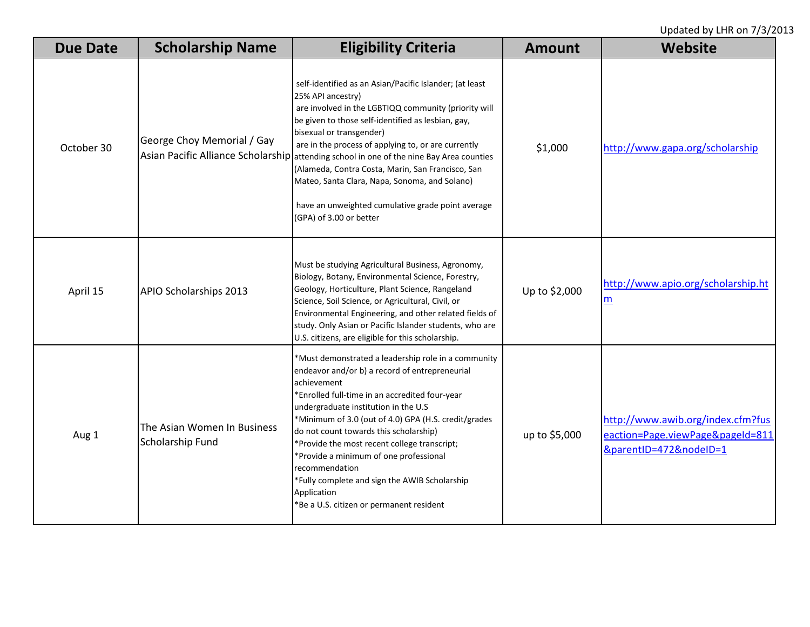Updated by LHR on 7/3/2013

| <b>Due Date</b> | <b>Scholarship Name</b>                         | <b>Eligibility Criteria</b>                                                                                                                                                                                                                                                                                                                                                                                                                                                                                                                                     | <b>Amount</b> | Website                                                                                         |
|-----------------|-------------------------------------------------|-----------------------------------------------------------------------------------------------------------------------------------------------------------------------------------------------------------------------------------------------------------------------------------------------------------------------------------------------------------------------------------------------------------------------------------------------------------------------------------------------------------------------------------------------------------------|---------------|-------------------------------------------------------------------------------------------------|
| October 30      | George Choy Memorial / Gay                      | self-identified as an Asian/Pacific Islander; (at least<br>25% API ancestry)<br>are involved in the LGBTIQQ community (priority will<br>be given to those self-identified as lesbian, gay,<br>bisexual or transgender)<br>are in the process of applying to, or are currently<br>Asian Pacific Alliance Scholarship attending school in one of the nine Bay Area counties<br>(Alameda, Contra Costa, Marin, San Francisco, San<br>Mateo, Santa Clara, Napa, Sonoma, and Solano)<br>have an unweighted cumulative grade point average<br>(GPA) of 3.00 or better | \$1,000       | http://www.gapa.org/scholarship                                                                 |
| April 15        | APIO Scholarships 2013                          | Must be studying Agricultural Business, Agronomy,<br>Biology, Botany, Environmental Science, Forestry,<br>Geology, Horticulture, Plant Science, Rangeland<br>Science, Soil Science, or Agricultural, Civil, or<br>Environmental Engineering, and other related fields of<br>study. Only Asian or Pacific Islander students, who are<br>U.S. citizens, are eligible for this scholarship.                                                                                                                                                                        | Up to \$2,000 | http://www.apio.org/scholarship.ht<br>m                                                         |
| Aug 1           | The Asian Women In Business<br>Scholarship Fund | *Must demonstrated a leadership role in a community<br>endeavor and/or b) a record of entrepreneurial<br>achievement<br>*Enrolled full-time in an accredited four-year<br>undergraduate institution in the U.S<br>*Minimum of 3.0 (out of 4.0) GPA (H.S. credit/grades<br>do not count towards this scholarship)<br>*Provide the most recent college transcript;<br>*Provide a minimum of one professional<br>recommendation<br>*Fully complete and sign the AWIB Scholarship<br>Application<br>*Be a U.S. citizen or permanent resident                        | up to \$5,000 | http://www.awib.org/index.cfm?fus<br>eaction=Page.viewPage&pageId=811<br>&parentID=472&nodeID=1 |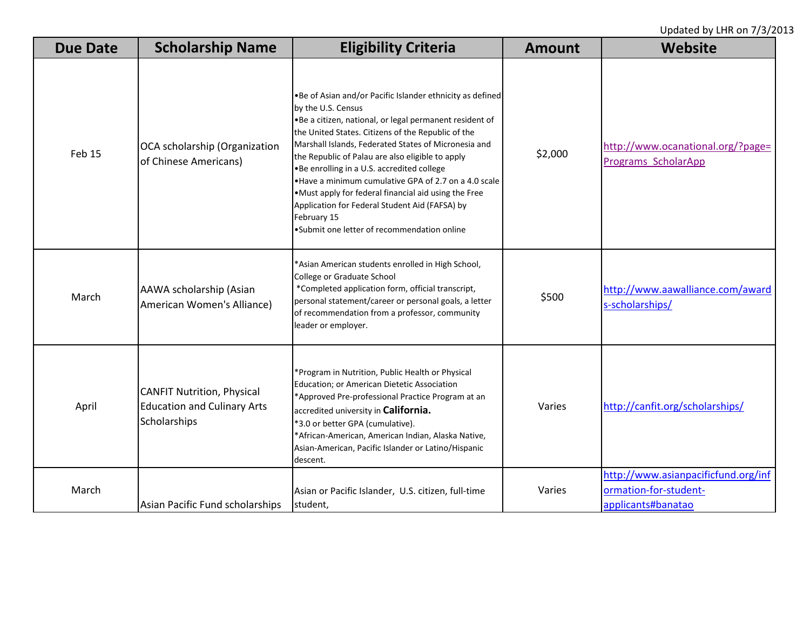Updated by LHR on 7/3/2013

| <b>Due Date</b> | <b>Scholarship Name</b>                                                                 | <b>Eligibility Criteria</b>                                                                                                                                                                                                                                                                                                                                                                                                                                                                                                                                                                   | <b>Amount</b> | <b>Website</b>                                                                     |
|-----------------|-----------------------------------------------------------------------------------------|-----------------------------------------------------------------------------------------------------------------------------------------------------------------------------------------------------------------------------------------------------------------------------------------------------------------------------------------------------------------------------------------------------------------------------------------------------------------------------------------------------------------------------------------------------------------------------------------------|---------------|------------------------------------------------------------------------------------|
| Feb 15          | OCA scholarship (Organization<br>of Chinese Americans)                                  | . Be of Asian and/or Pacific Islander ethnicity as defined<br>by the U.S. Census<br>.Be a citizen, national, or legal permanent resident of<br>the United States. Citizens of the Republic of the<br>Marshall Islands, Federated States of Micronesia and<br>the Republic of Palau are also eligible to apply<br>.Be enrolling in a U.S. accredited college<br>. Have a minimum cumulative GPA of 2.7 on a 4.0 scale<br>. Must apply for federal financial aid using the Free<br>Application for Federal Student Aid (FAFSA) by<br>February 15<br>•Submit one letter of recommendation online | \$2,000       | http://www.ocanational.org/?page=<br>Programs_ScholarApp                           |
| March           | AAWA scholarship (Asian<br>American Women's Alliance)                                   | *Asian American students enrolled in High School,<br>College or Graduate School<br>*Completed application form, official transcript,<br>personal statement/career or personal goals, a letter<br>of recommendation from a professor, community<br>leader or employer.                                                                                                                                                                                                                                                                                                                         | \$500         | http://www.aawalliance.com/award<br>s-scholarships/                                |
| April           | <b>CANFIT Nutrition, Physical</b><br><b>Education and Culinary Arts</b><br>Scholarships | *Program in Nutrition, Public Health or Physical<br>Education; or American Dietetic Association<br>*Approved Pre-professional Practice Program at an<br>accredited university in California.<br>*3.0 or better GPA (cumulative).<br>*African-American, American Indian, Alaska Native,<br>Asian-American, Pacific Islander or Latino/Hispanic<br>descent.                                                                                                                                                                                                                                     | Varies        | http://canfit.org/scholarships/                                                    |
| March           | Asian Pacific Fund scholarships                                                         | Asian or Pacific Islander, U.S. citizen, full-time<br>student,                                                                                                                                                                                                                                                                                                                                                                                                                                                                                                                                | Varies        | http://www.asianpacificfund.org/inf<br>ormation-for-student-<br>applicants#banatao |